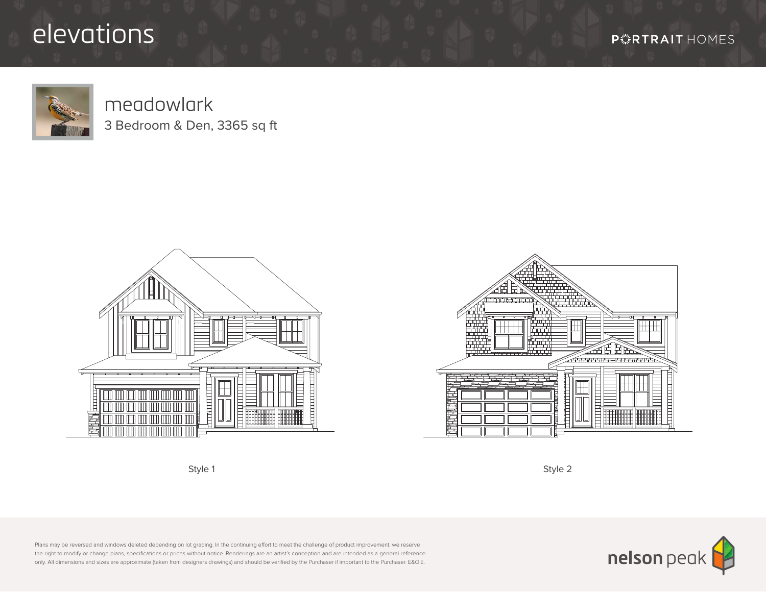## elevations

**P***F* **RTRAIT** HOMES



## meadowlark 3 Bedroom & Den, 3365 sq ft







Plans may be reversed and windows deleted depending on lot grading. In the continuing effort to meet the challenge of product improvement, we reserve the right to modify or change plans, specifications or prices without notice. Renderings are an artist's conception and are intended as a general reference only. All dimensions and sizes are approximate (taken from designers drawings) and should be verified by the Purchaser if important to the Purchaser. E&O.E.